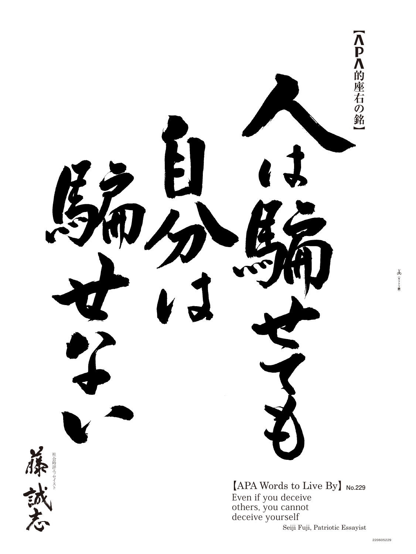

Even if you deceive others, you cannot deceive yourself Seiji Fuji, Patriotic Essayist